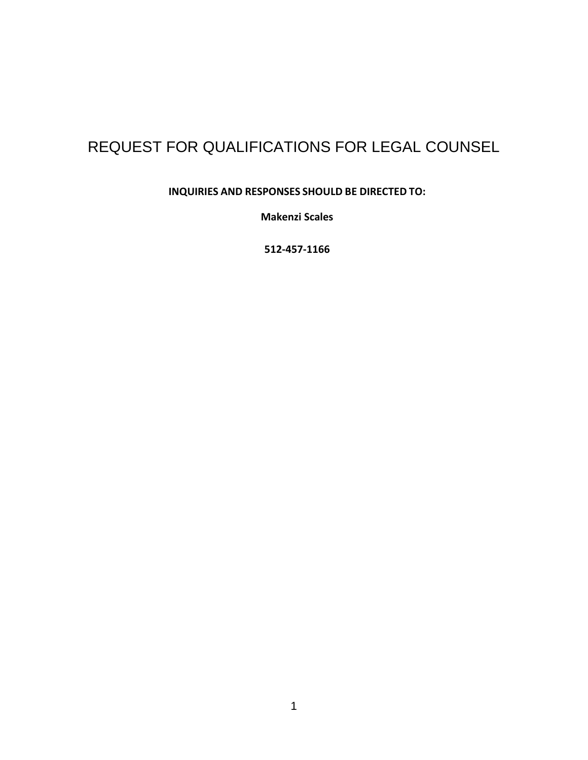# REQUEST FOR QUALIFICATIONS FOR LEGAL COUNSEL

**INQUIRIES AND RESPONSES SHOULD BE DIRECTED TO:**

**Makenzi Scales**

**512-457-1166**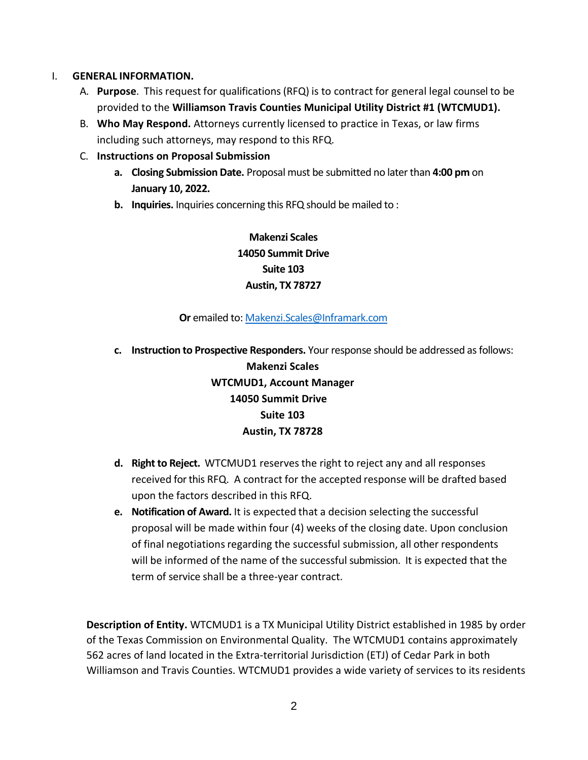## I. **GENERAL INFORMATION.**

- A. **Purpose**. This request for qualifications(RFQ) is to contract for general legal counsel to be provided to the **Williamson Travis Counties Municipal Utility District #1 (WTCMUD1).**
- B. **Who May Respond.** Attorneys currently licensed to practice in Texas, or law firms including such attorneys, may respond to this RFQ.
- C. **Instructions on Proposal Submission**
	- **a. Closing Submission Date.** Proposal must be submitted no later than **4:00 pm** on **January 10, 2022.**
	- **b. Inquiries.** Inquiries concerning this RFQ should be mailed to :

**Makenzi Scales 14050 Summit Drive Suite 103 Austin, TX 78727**

### **Or** emailed to[: Makenzi.Scales@Inframark.com](mailto:Makenzi.Scales@Inframark.com)

- **c. Instruction to Prospective Responders.** Your response should be addressed as follows: **Makenzi Scales WTCMUD1, Account Manager 14050 Summit Drive Suite 103 Austin, TX 78728**
- **d. Right to Reject.** WTCMUD1 reservesthe right to reject any and all responses received for this RFQ. A contract for the accepted response will be drafted based upon the factors described in this RFQ.
- **e. Notification of Award.** It is expected that a decision selecting the successful proposal will be made within four (4) weeks of the closing date. Upon conclusion of final negotiations regarding the successful submission, all other respondents will be informed of the name of the successful submission. It is expected that the term of service shall be a three-year contract.

**Description of Entity.** WTCMUD1 is a TX Municipal Utility District established in 1985 by order of the Texas Commission on Environmental Quality. The WTCMUD1 contains approximately 562 acres of land located in the Extra-territorial Jurisdiction (ETJ) of Cedar Park in both Williamson and Travis Counties. WTCMUD1 provides a wide variety of services to its residents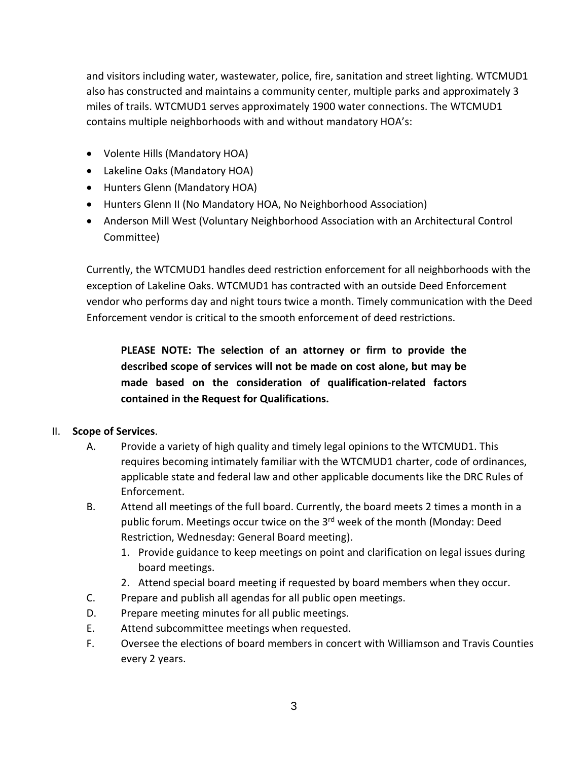and visitors including water, wastewater, police, fire, sanitation and street lighting. WTCMUD1 also has constructed and maintains a community center, multiple parks and approximately 3 miles of trails. WTCMUD1 serves approximately 1900 water connections. The WTCMUD1 contains multiple neighborhoods with and without mandatory HOA's:

- Volente Hills (Mandatory HOA)
- Lakeline Oaks (Mandatory HOA)
- Hunters Glenn (Mandatory HOA)
- Hunters Glenn II (No Mandatory HOA, No Neighborhood Association)
- Anderson Mill West (Voluntary Neighborhood Association with an Architectural Control Committee)

Currently, the WTCMUD1 handles deed restriction enforcement for all neighborhoods with the exception of Lakeline Oaks. WTCMUD1 has contracted with an outside Deed Enforcement vendor who performs day and night tours twice a month. Timely communication with the Deed Enforcement vendor is critical to the smooth enforcement of deed restrictions.

**PLEASE NOTE: The selection of an attorney or firm to provide the described scope of services will not be made on cost alone, but may be made based on the consideration of qualification-related factors contained in the Request for Qualifications.**

# II. **Scope of Services**.

- A. Provide a variety of high quality and timely legal opinions to the WTCMUD1. This requires becoming intimately familiar with the WTCMUD1 charter, code of ordinances, applicable state and federal law and other applicable documents like the DRC Rules of Enforcement.
- B. Attend all meetings of the full board. Currently, the board meets 2 times a month in a public forum. Meetings occur twice on the 3<sup>rd</sup> week of the month (Monday: Deed Restriction, Wednesday: General Board meeting).
	- 1. Provide guidance to keep meetings on point and clarification on legal issues during board meetings.
	- 2. Attend special board meeting if requested by board members when they occur.
- C. Prepare and publish all agendas for all public open meetings.
- D. Prepare meeting minutes for all public meetings.
- E. Attend subcommittee meetings when requested.
- F. Oversee the elections of board members in concert with Williamson and Travis Counties every 2 years.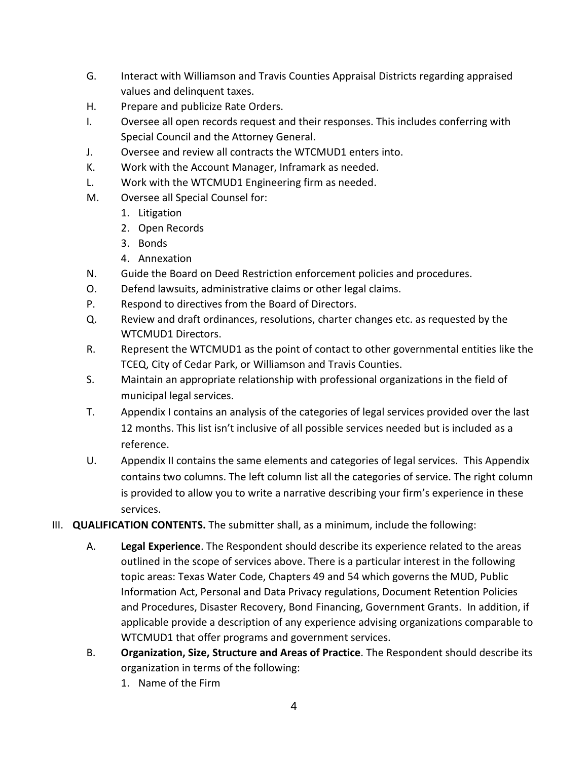- G. Interact with Williamson and Travis Counties Appraisal Districts regarding appraised values and delinquent taxes.
- H. Prepare and publicize Rate Orders.
- I. Oversee all open records request and their responses. This includes conferring with Special Council and the Attorney General.
- J. Oversee and review all contracts the WTCMUD1 enters into.
- K. Work with the Account Manager, Inframark as needed.
- L. Work with the WTCMUD1 Engineering firm as needed.
- M. Oversee all Special Counsel for:
	- 1. Litigation
	- 2. Open Records
	- 3. Bonds
	- 4. Annexation
- N. Guide the Board on Deed Restriction enforcement policies and procedures.
- O. Defend lawsuits, administrative claims or other legal claims.
- P. Respond to directives from the Board of Directors.
- Q. Review and draft ordinances, resolutions, charter changes etc. as requested by the WTCMUD1 Directors.
- R. Represent the WTCMUD1 as the point of contact to other governmental entities like the TCEQ, City of Cedar Park, or Williamson and Travis Counties.
- S. Maintain an appropriate relationship with professional organizations in the field of municipal legal services.
- T. Appendix I contains an analysis of the categories of legal services provided over the last 12 months. This list isn't inclusive of all possible services needed but is included as a reference.
- U. Appendix II contains the same elements and categories of legal services. This Appendix contains two columns. The left column list all the categories of service. The right column is provided to allow you to write a narrative describing your firm's experience in these services.
- III. **QUALIFICATION CONTENTS.** The submitter shall, as a minimum, include the following:
	- A. **Legal Experience**. The Respondent should describe its experience related to the areas outlined in the scope of services above. There is a particular interest in the following topic areas: Texas Water Code, Chapters 49 and 54 which governs the MUD, Public Information Act, Personal and Data Privacy regulations, Document Retention Policies and Procedures, Disaster Recovery, Bond Financing, Government Grants. In addition, if applicable provide a description of any experience advising organizations comparable to WTCMUD1 that offer programs and government services.
	- B. **Organization, Size, Structure and Areas of Practice**. The Respondent should describe its organization in terms of the following:
		- 1. Name of the Firm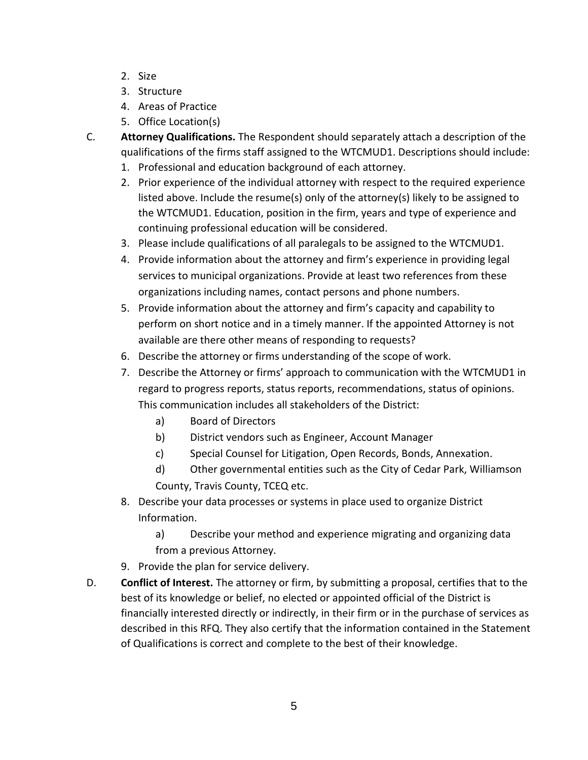- 2. Size
- 3. Structure
- 4. Areas of Practice
- 5. Office Location(s)
- C. **Attorney Qualifications.** The Respondent should separately attach a description of the qualifications of the firms staff assigned to the WTCMUD1. Descriptions should include:
	- 1. Professional and education background of each attorney.
	- 2. Prior experience of the individual attorney with respect to the required experience listed above. Include the resume(s) only of the attorney(s) likely to be assigned to the WTCMUD1. Education, position in the firm, years and type of experience and continuing professional education will be considered.
	- 3. Please include qualifications of all paralegals to be assigned to the WTCMUD1.
	- 4. Provide information about the attorney and firm's experience in providing legal services to municipal organizations. Provide at least two references from these organizations including names, contact persons and phone numbers.
	- 5. Provide information about the attorney and firm's capacity and capability to perform on short notice and in a timely manner. If the appointed Attorney is not available are there other means of responding to requests?
	- 6. Describe the attorney or firms understanding of the scope of work.
	- 7. Describe the Attorney or firms' approach to communication with the WTCMUD1 in regard to progress reports, status reports, recommendations, status of opinions. This communication includes all stakeholders of the District:
		- a) Board of Directors
		- b) District vendors such as Engineer, Account Manager
		- c) Special Counsel for Litigation, Open Records, Bonds, Annexation.
		- d) Other governmental entities such as the City of Cedar Park, Williamson County, Travis County, TCEQ etc.
	- 8. Describe your data processes or systems in place used to organize District Information.

a) Describe your method and experience migrating and organizing data from a previous Attorney.

- 9. Provide the plan for service delivery.
- D. **Conflict of Interest.** The attorney or firm, by submitting a proposal, certifies that to the best of its knowledge or belief, no elected or appointed official of the District is financially interested directly or indirectly, in their firm or in the purchase of services as described in this RFQ. They also certify that the information contained in the Statement of Qualifications is correct and complete to the best of their knowledge.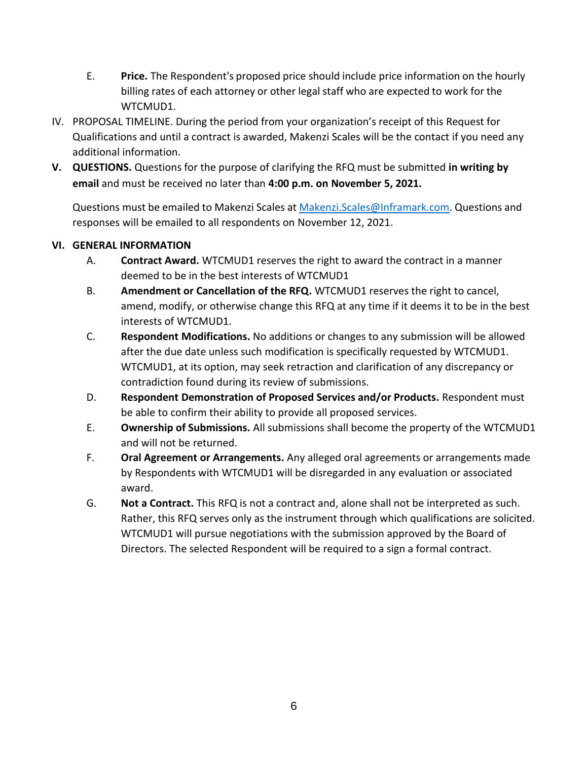- E. **Price.** The Respondent's proposed price should include price information on the hourly billing rates of each attorney or other legal staff who are expected to work for the WTCMUD1.
- IV. PROPOSAL TIMELINE. During the period from your organization's receipt of this Request for Qualifications and until a contract is awarded, Makenzi Scales will be the contact if you need any additional information.
- **V. QUESTIONS.** Questions for the purpose of clarifying the RFQ must be submitted **in writing by email** and must be received no later than **4:00 p.m. on November 5, 2021.**

Questions must be emailed to Makenzi Scales a[t Makenzi.Scales@Inframark.com.](mailto:Makenzi.Scales@Inframark.com) Questions and responses will be emailed to all respondents on November 12, 2021.

# **VI. GENERAL INFORMATION**

- A. **Contract Award.** WTCMUD1 reserves the right to award the contract in a manner deemed to be in the best interests of WTCMUD1
- B. **Amendment or Cancellation of the RFQ.** WTCMUD1 reserves the right to cancel, amend, modify, or otherwise change this RFQ at any time if it deems it to be in the best interests of WTCMUD1.
- C. **Respondent Modifications.** No additions or changes to any submission will be allowed after the due date unless such modification is specifically requested by WTCMUD1. WTCMUD1, at its option, may seek retraction and clarification of any discrepancy or contradiction found during its review of submissions.
- D. **Respondent Demonstration of Proposed Services and/or Products.** Respondent must be able to confirm their ability to provide all proposed services.
- E. **Ownership of Submissions.** All submissions shall become the property of the WTCMUD1 and will not be returned.
- F. **Oral Agreement or Arrangements.** Any alleged oral agreements or arrangements made by Respondents with WTCMUD1 will be disregarded in any evaluation or associated award.
- G. **Not a Contract.** This RFQ is not a contract and, alone shall not be interpreted as such. Rather, this RFQ serves only as the instrument through which qualifications are solicited. WTCMUD1 will pursue negotiations with the submission approved by the Board of Directors. The selected Respondent will be required to a sign a formal contract.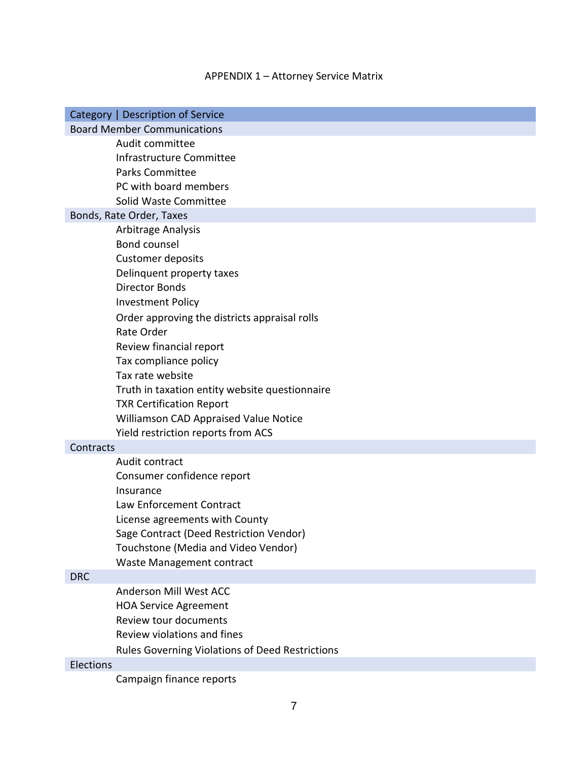# APPENDIX 1 – Attorney Service Matrix

| Category   Description of Service               |  |  |  |  |  |
|-------------------------------------------------|--|--|--|--|--|
| <b>Board Member Communications</b>              |  |  |  |  |  |
| Audit committee                                 |  |  |  |  |  |
| Infrastructure Committee                        |  |  |  |  |  |
| <b>Parks Committee</b>                          |  |  |  |  |  |
| PC with board members                           |  |  |  |  |  |
| Solid Waste Committee                           |  |  |  |  |  |
| Bonds, Rate Order, Taxes                        |  |  |  |  |  |
| Arbitrage Analysis                              |  |  |  |  |  |
| Bond counsel                                    |  |  |  |  |  |
| <b>Customer deposits</b>                        |  |  |  |  |  |
| Delinquent property taxes                       |  |  |  |  |  |
| <b>Director Bonds</b>                           |  |  |  |  |  |
| <b>Investment Policy</b>                        |  |  |  |  |  |
| Order approving the districts appraisal rolls   |  |  |  |  |  |
| Rate Order                                      |  |  |  |  |  |
| Review financial report                         |  |  |  |  |  |
| Tax compliance policy                           |  |  |  |  |  |
| Tax rate website                                |  |  |  |  |  |
| Truth in taxation entity website questionnaire  |  |  |  |  |  |
| <b>TXR Certification Report</b>                 |  |  |  |  |  |
| Williamson CAD Appraised Value Notice           |  |  |  |  |  |
| Yield restriction reports from ACS              |  |  |  |  |  |
| Contracts                                       |  |  |  |  |  |
| Audit contract                                  |  |  |  |  |  |
| Consumer confidence report                      |  |  |  |  |  |
| Insurance                                       |  |  |  |  |  |
| Law Enforcement Contract                        |  |  |  |  |  |
| License agreements with County                  |  |  |  |  |  |
| Sage Contract (Deed Restriction Vendor)         |  |  |  |  |  |
| Touchstone (Media and Video Vendor)             |  |  |  |  |  |
| Waste Management contract                       |  |  |  |  |  |
| <b>DRC</b>                                      |  |  |  |  |  |
| Anderson Mill West ACC                          |  |  |  |  |  |
| <b>HOA Service Agreement</b>                    |  |  |  |  |  |
| Review tour documents                           |  |  |  |  |  |
| Review violations and fines                     |  |  |  |  |  |
| Rules Governing Violations of Deed Restrictions |  |  |  |  |  |
| Elections                                       |  |  |  |  |  |

Campaign finance reports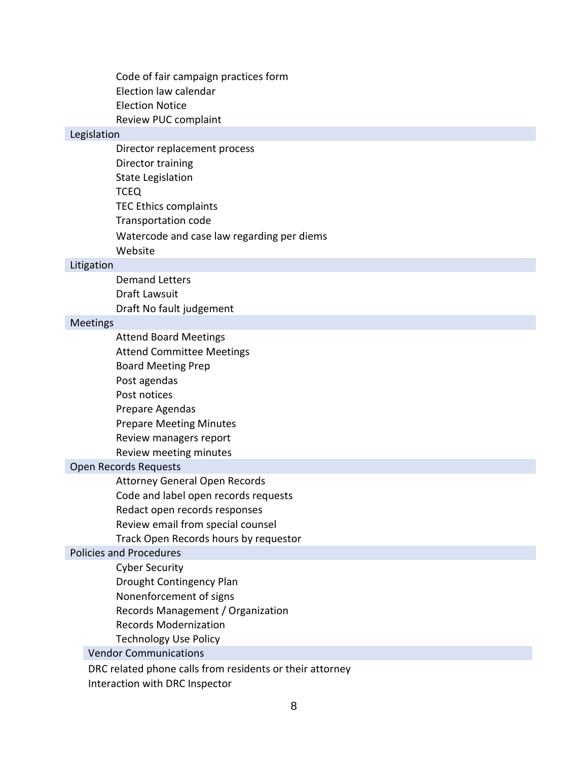Code of fair campaign practices form Election law calendar Election Notice Review PUC complaint

#### Legislation

Director replacement process Director training State Legislation TCEQ TEC Ethics complaints Transportation code Watercode and case law regarding per diems Website

#### Litigation

Demand Letters Draft Lawsuit Draft No fault judgement

#### Meetings

Attend Board Meetings Attend Committee Meetings Board Meeting Prep Post agendas Post notices Prepare Agendas Prepare Meeting Minutes Review managers report Review meeting minutes

#### Open Records Requests

Attorney General Open Records

Code and label open records requests

- Redact open records responses
- Review email from special counsel

Track Open Records hours by requestor

#### Policies and Procedures

Cyber Security

- Drought Contingency Plan
- Nonenforcement of signs
- Records Management / Organization
- Records Modernization
- Technology Use Policy

Vendor Communications

DRC related phone calls from residents or their attorney Interaction with DRC Inspector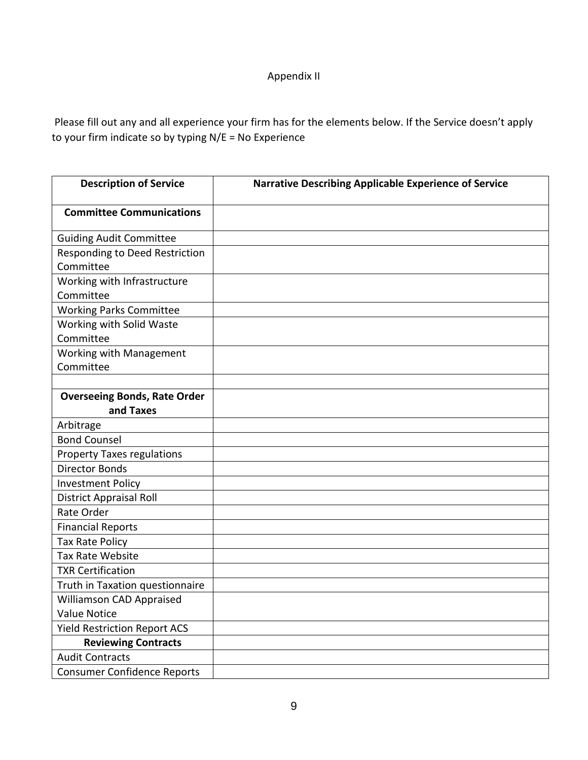# Appendix II

Please fill out any and all experience your firm has for the elements below. If the Service doesn't apply to your firm indicate so by typing N/E = No Experience

| <b>Description of Service</b>         | <b>Narrative Describing Applicable Experience of Service</b> |
|---------------------------------------|--------------------------------------------------------------|
| <b>Committee Communications</b>       |                                                              |
| <b>Guiding Audit Committee</b>        |                                                              |
| <b>Responding to Deed Restriction</b> |                                                              |
| Committee                             |                                                              |
| Working with Infrastructure           |                                                              |
| Committee                             |                                                              |
| <b>Working Parks Committee</b>        |                                                              |
| Working with Solid Waste              |                                                              |
| Committee                             |                                                              |
| Working with Management               |                                                              |
| Committee                             |                                                              |
|                                       |                                                              |
| <b>Overseeing Bonds, Rate Order</b>   |                                                              |
| and Taxes                             |                                                              |
| Arbitrage                             |                                                              |
| <b>Bond Counsel</b>                   |                                                              |
| <b>Property Taxes regulations</b>     |                                                              |
| <b>Director Bonds</b>                 |                                                              |
| <b>Investment Policy</b>              |                                                              |
| <b>District Appraisal Roll</b>        |                                                              |
| Rate Order                            |                                                              |
| <b>Financial Reports</b>              |                                                              |
| <b>Tax Rate Policy</b>                |                                                              |
| <b>Tax Rate Website</b>               |                                                              |
| <b>TXR Certification</b>              |                                                              |
| Truth in Taxation questionnaire       |                                                              |
| Williamson CAD Appraised              |                                                              |
| <b>Value Notice</b>                   |                                                              |
| <b>Yield Restriction Report ACS</b>   |                                                              |
| <b>Reviewing Contracts</b>            |                                                              |
| <b>Audit Contracts</b>                |                                                              |
| <b>Consumer Confidence Reports</b>    |                                                              |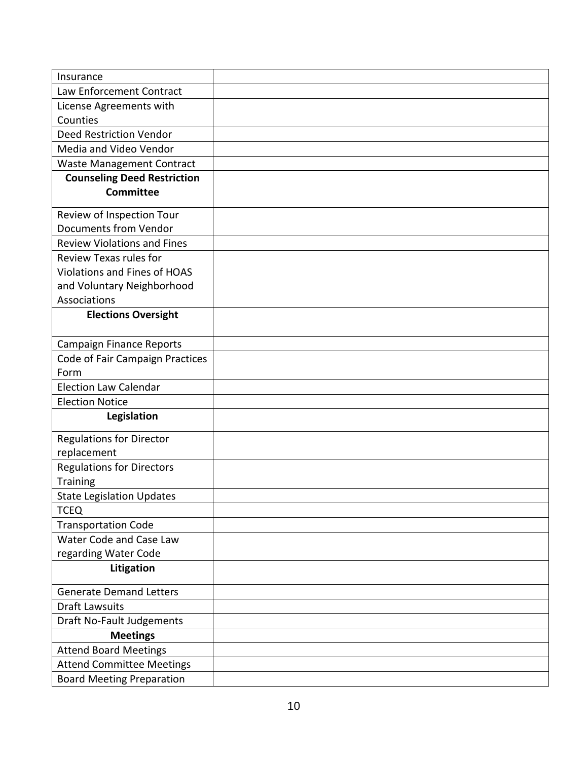| Insurance                           |  |
|-------------------------------------|--|
| Law Enforcement Contract            |  |
| License Agreements with             |  |
| Counties                            |  |
| <b>Deed Restriction Vendor</b>      |  |
| Media and Video Vendor              |  |
| <b>Waste Management Contract</b>    |  |
| <b>Counseling Deed Restriction</b>  |  |
| <b>Committee</b>                    |  |
| Review of Inspection Tour           |  |
| <b>Documents from Vendor</b>        |  |
| <b>Review Violations and Fines</b>  |  |
| <b>Review Texas rules for</b>       |  |
| <b>Violations and Fines of HOAS</b> |  |
| and Voluntary Neighborhood          |  |
| Associations                        |  |
| <b>Elections Oversight</b>          |  |
| <b>Campaign Finance Reports</b>     |  |
| Code of Fair Campaign Practices     |  |
| Form                                |  |
| <b>Election Law Calendar</b>        |  |
| <b>Election Notice</b>              |  |
| Legislation                         |  |
| <b>Regulations for Director</b>     |  |
| replacement                         |  |
| <b>Regulations for Directors</b>    |  |
| <b>Training</b>                     |  |
| <b>State Legislation Updates</b>    |  |
| <b>TCEQ</b>                         |  |
| <b>Transportation Code</b>          |  |
| Water Code and Case Law             |  |
| regarding Water Code                |  |
| Litigation                          |  |
| <b>Generate Demand Letters</b>      |  |
| <b>Draft Lawsuits</b>               |  |
| <b>Draft No-Fault Judgements</b>    |  |
| <b>Meetings</b>                     |  |
| <b>Attend Board Meetings</b>        |  |
| <b>Attend Committee Meetings</b>    |  |
| <b>Board Meeting Preparation</b>    |  |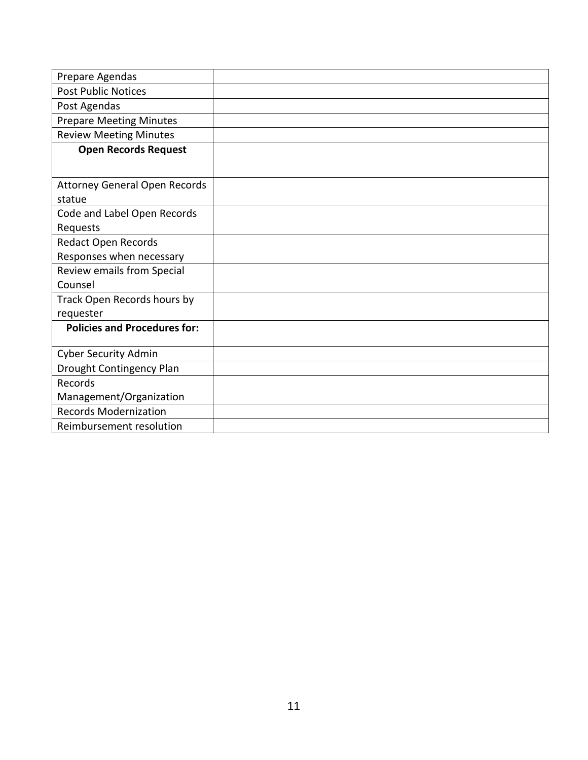| Prepare Agendas                      |  |
|--------------------------------------|--|
| <b>Post Public Notices</b>           |  |
| Post Agendas                         |  |
| <b>Prepare Meeting Minutes</b>       |  |
| <b>Review Meeting Minutes</b>        |  |
| <b>Open Records Request</b>          |  |
|                                      |  |
| <b>Attorney General Open Records</b> |  |
| statue                               |  |
| Code and Label Open Records          |  |
| Requests                             |  |
| Redact Open Records                  |  |
| Responses when necessary             |  |
| Review emails from Special           |  |
| Counsel                              |  |
| Track Open Records hours by          |  |
| requester                            |  |
| <b>Policies and Procedures for:</b>  |  |
| <b>Cyber Security Admin</b>          |  |
| Drought Contingency Plan             |  |
| Records                              |  |
| Management/Organization              |  |
| <b>Records Modernization</b>         |  |
| Reimbursement resolution             |  |